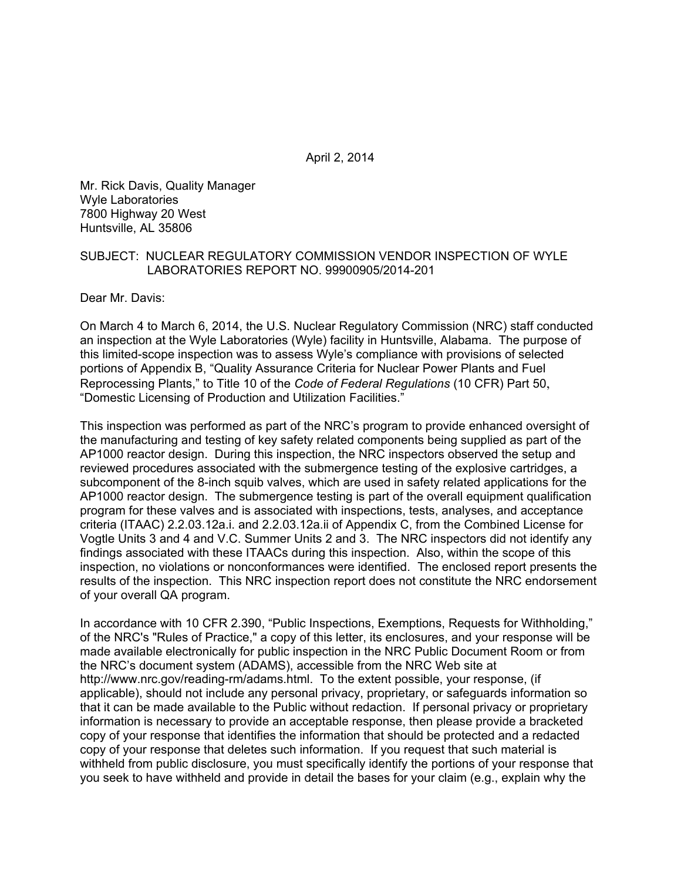April 2, 2014

Mr. Rick Davis, Quality Manager Wyle Laboratories 7800 Highway 20 West Huntsville, AL 35806

#### SUBJECT: NUCLEAR REGULATORY COMMISSION VENDOR INSPECTION OF WYLE LABORATORIES REPORT NO. 99900905/2014-201

Dear Mr. Davis:

On March 4 to March 6, 2014, the U.S. Nuclear Regulatory Commission (NRC) staff conducted an inspection at the Wyle Laboratories (Wyle) facility in Huntsville, Alabama. The purpose of this limited-scope inspection was to assess Wyle's compliance with provisions of selected portions of Appendix B, "Quality Assurance Criteria for Nuclear Power Plants and Fuel Reprocessing Plants," to Title 10 of the *Code of Federal Regulations* (10 CFR) Part 50, "Domestic Licensing of Production and Utilization Facilities."

This inspection was performed as part of the NRC's program to provide enhanced oversight of the manufacturing and testing of key safety related components being supplied as part of the AP1000 reactor design. During this inspection, the NRC inspectors observed the setup and reviewed procedures associated with the submergence testing of the explosive cartridges, a subcomponent of the 8-inch squib valves, which are used in safety related applications for the AP1000 reactor design. The submergence testing is part of the overall equipment qualification program for these valves and is associated with inspections, tests, analyses, and acceptance criteria (ITAAC) 2.2.03.12a.i. and 2.2.03.12a.ii of Appendix C, from the Combined License for Vogtle Units 3 and 4 and V.C. Summer Units 2 and 3. The NRC inspectors did not identify any findings associated with these ITAACs during this inspection. Also, within the scope of this inspection, no violations or nonconformances were identified. The enclosed report presents the results of the inspection. This NRC inspection report does not constitute the NRC endorsement of your overall QA program.

In accordance with 10 CFR 2.390, "Public Inspections, Exemptions, Requests for Withholding," of the NRC's "Rules of Practice," a copy of this letter, its enclosures, and your response will be made available electronically for public inspection in the NRC Public Document Room or from the NRC's document system (ADAMS), accessible from the NRC Web site at http://www.nrc.gov/reading-rm/adams.html. To the extent possible, your response, (if applicable), should not include any personal privacy, proprietary, or safeguards information so that it can be made available to the Public without redaction. If personal privacy or proprietary information is necessary to provide an acceptable response, then please provide a bracketed copy of your response that identifies the information that should be protected and a redacted copy of your response that deletes such information. If you request that such material is withheld from public disclosure, you must specifically identify the portions of your response that you seek to have withheld and provide in detail the bases for your claim (e.g., explain why the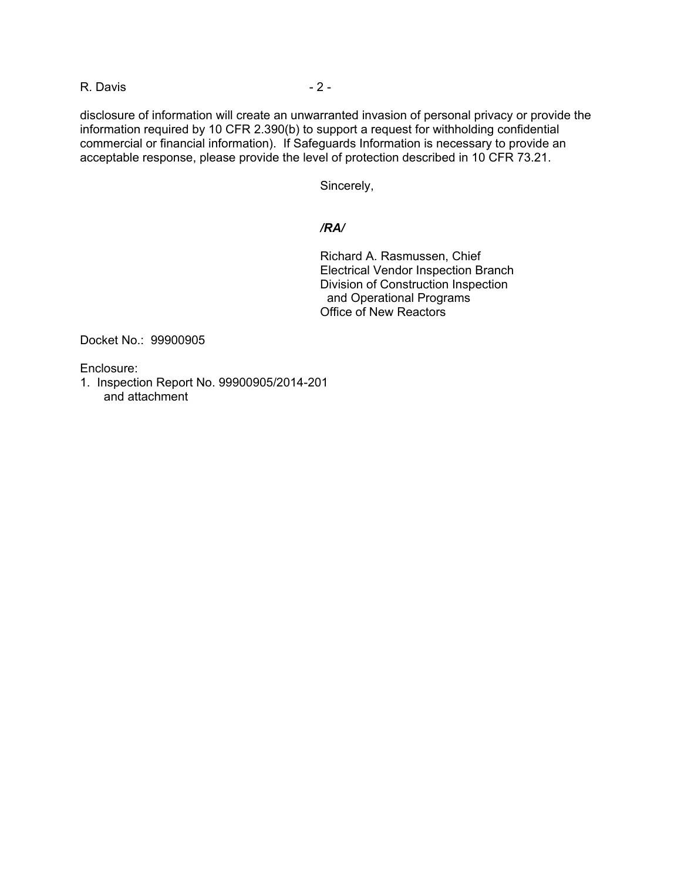R. Davis - 2 -

disclosure of information will create an unwarranted invasion of personal privacy or provide the information required by 10 CFR 2.390(b) to support a request for withholding confidential commercial or financial information). If Safeguards Information is necessary to provide an acceptable response, please provide the level of protection described in 10 CFR 73.21.

Sincerely,

#### */RA/*

Richard A. Rasmussen, Chief Electrical Vendor Inspection Branch Division of Construction Inspection and Operational Programs Office of New Reactors

Docket No.: 99900905

Enclosure:

1. Inspection Report No. 99900905/2014-201 and attachment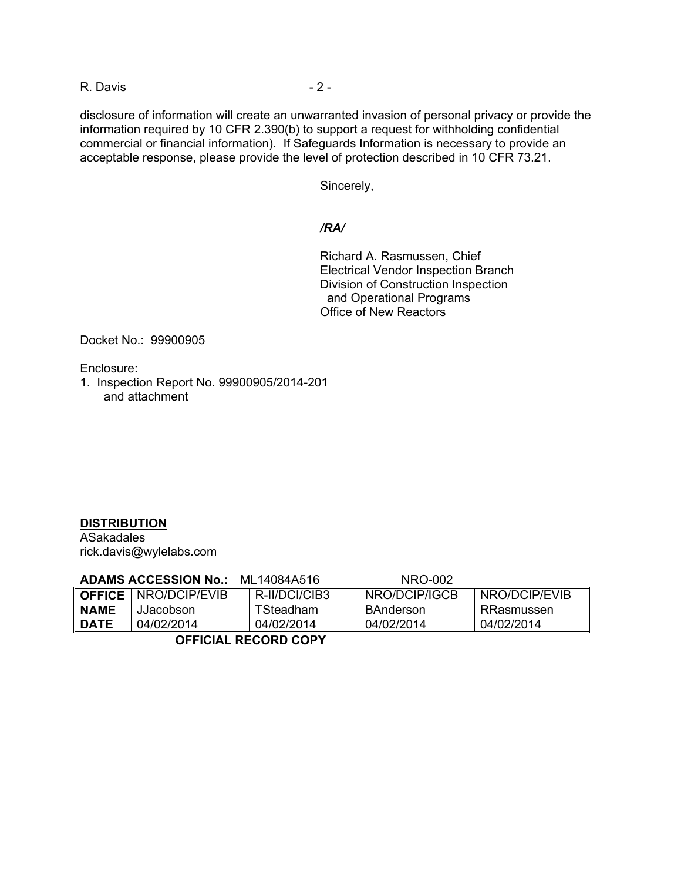R. Davis - 2 -

disclosure of information will create an unwarranted invasion of personal privacy or provide the information required by 10 CFR 2.390(b) to support a request for withholding confidential commercial or financial information). If Safeguards Information is necessary to provide an acceptable response, please provide the level of protection described in 10 CFR 73.21.

Sincerely,

#### */RA/*

Richard A. Rasmussen, Chief Electrical Vendor Inspection Branch Division of Construction Inspection and Operational Programs Office of New Reactors

Docket No.: 99900905

Enclosure:

1. Inspection Report No. 99900905/2014-201 and attachment

# **DISTRIBUTION**

ASakadales rick.davis@wylelabs.com

|        | <b>ADAMS ACCESSION No.:</b> | ML14084A516   | NRO-002       |               |  |
|--------|-----------------------------|---------------|---------------|---------------|--|
|        | OFFICE   NRO/DCIP/EVIB      | R-II/DCI/CIB3 | NRO/DCIP/IGCB | NRO/DCIP/EVIB |  |
| ∥ NAME | JJacobson                   | TSteadham     | BAnderson     | RRasmussen    |  |
| ∥ DATE | 04/02/2014                  | 04/02/2014    | 04/02/2014    | 04/02/2014    |  |
|        |                             |               |               |               |  |

 **OFFICIAL RECORD COPY**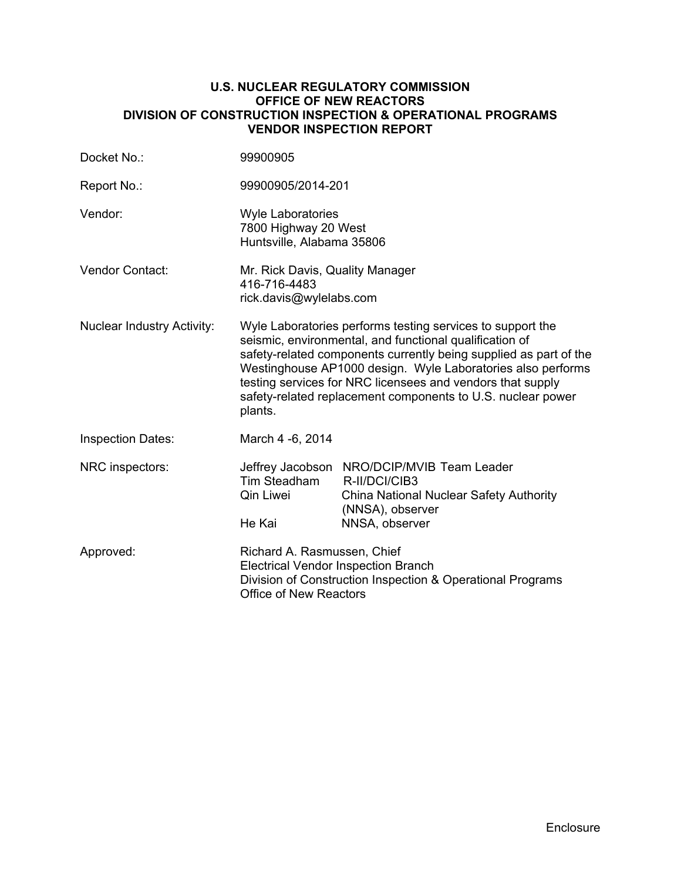#### **U.S. NUCLEAR REGULATORY COMMISSION OFFICE OF NEW REACTORS DIVISION OF CONSTRUCTION INSPECTION & OPERATIONAL PROGRAMS VENDOR INSPECTION REPORT**

| Docket No.:                       | 99900905                                                                                                                                                                                                                                                                                                                                                                                          |                                                                                                           |  |
|-----------------------------------|---------------------------------------------------------------------------------------------------------------------------------------------------------------------------------------------------------------------------------------------------------------------------------------------------------------------------------------------------------------------------------------------------|-----------------------------------------------------------------------------------------------------------|--|
| Report No.:                       | 99900905/2014-201                                                                                                                                                                                                                                                                                                                                                                                 |                                                                                                           |  |
| Vendor:                           | <b>Wyle Laboratories</b><br>7800 Highway 20 West<br>Huntsville, Alabama 35806                                                                                                                                                                                                                                                                                                                     |                                                                                                           |  |
| Vendor Contact:                   | Mr. Rick Davis, Quality Manager<br>416-716-4483<br>rick.davis@wylelabs.com                                                                                                                                                                                                                                                                                                                        |                                                                                                           |  |
| <b>Nuclear Industry Activity:</b> | Wyle Laboratories performs testing services to support the<br>seismic, environmental, and functional qualification of<br>safety-related components currently being supplied as part of the<br>Westinghouse AP1000 design. Wyle Laboratories also performs<br>testing services for NRC licensees and vendors that supply<br>safety-related replacement components to U.S. nuclear power<br>plants. |                                                                                                           |  |
| <b>Inspection Dates:</b>          | March 4 -6, 2014                                                                                                                                                                                                                                                                                                                                                                                  |                                                                                                           |  |
| NRC inspectors:                   | Jeffrey Jacobson<br>Tim Steadham<br>Qin Liwei<br>He Kai                                                                                                                                                                                                                                                                                                                                           | NRO/DCIP/MVIB Team Leader<br>R-II/DCI/CIB3<br>China National Nuclear Safety Authority<br>(NNSA), observer |  |
|                                   |                                                                                                                                                                                                                                                                                                                                                                                                   | NNSA, observer                                                                                            |  |
| Approved:                         | Richard A. Rasmussen, Chief<br><b>Electrical Vendor Inspection Branch</b><br>Division of Construction Inspection & Operational Programs<br><b>Office of New Reactors</b>                                                                                                                                                                                                                          |                                                                                                           |  |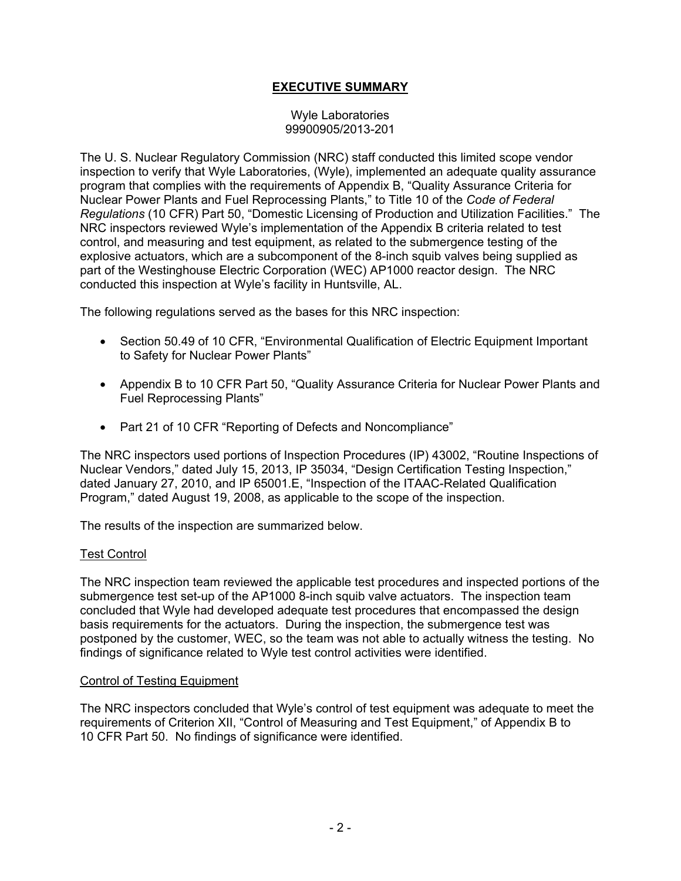## **EXECUTIVE SUMMARY**

#### Wyle Laboratories 99900905/2013-201

The U. S. Nuclear Regulatory Commission (NRC) staff conducted this limited scope vendor inspection to verify that Wyle Laboratories, (Wyle), implemented an adequate quality assurance program that complies with the requirements of Appendix B, "Quality Assurance Criteria for Nuclear Power Plants and Fuel Reprocessing Plants," to Title 10 of the *Code of Federal Regulations* (10 CFR) Part 50, "Domestic Licensing of Production and Utilization Facilities." The NRC inspectors reviewed Wyle's implementation of the Appendix B criteria related to test control, and measuring and test equipment, as related to the submergence testing of the explosive actuators, which are a subcomponent of the 8-inch squib valves being supplied as part of the Westinghouse Electric Corporation (WEC) AP1000 reactor design. The NRC conducted this inspection at Wyle's facility in Huntsville, AL.

The following regulations served as the bases for this NRC inspection:

- Section 50.49 of 10 CFR, "Environmental Qualification of Electric Equipment Important to Safety for Nuclear Power Plants"
- Appendix B to 10 CFR Part 50, "Quality Assurance Criteria for Nuclear Power Plants and Fuel Reprocessing Plants"
- Part 21 of 10 CFR "Reporting of Defects and Noncompliance"

The NRC inspectors used portions of Inspection Procedures (IP) 43002, "Routine Inspections of Nuclear Vendors," dated July 15, 2013, IP 35034, "Design Certification Testing Inspection," dated January 27, 2010, and IP 65001.E, "Inspection of the ITAAC-Related Qualification Program," dated August 19, 2008, as applicable to the scope of the inspection.

The results of the inspection are summarized below.

#### Test Control

The NRC inspection team reviewed the applicable test procedures and inspected portions of the submergence test set-up of the AP1000 8-inch squib valve actuators. The inspection team concluded that Wyle had developed adequate test procedures that encompassed the design basis requirements for the actuators. During the inspection, the submergence test was postponed by the customer, WEC, so the team was not able to actually witness the testing. No findings of significance related to Wyle test control activities were identified.

#### Control of Testing Equipment

The NRC inspectors concluded that Wyle's control of test equipment was adequate to meet the requirements of Criterion XII, "Control of Measuring and Test Equipment," of Appendix B to 10 CFR Part 50. No findings of significance were identified.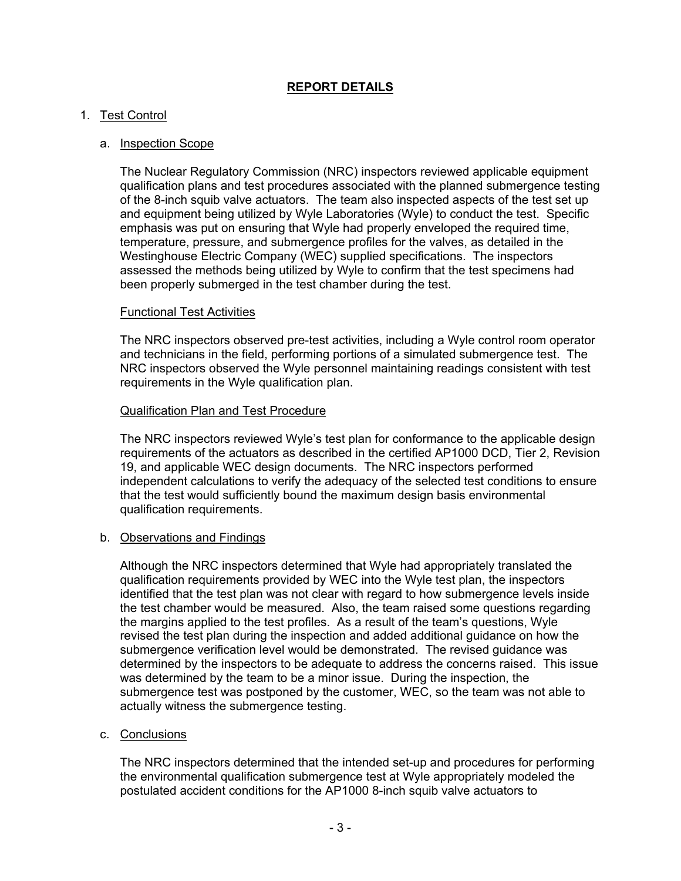## **REPORT DETAILS**

### 1. Test Control

#### a. Inspection Scope

The Nuclear Regulatory Commission (NRC) inspectors reviewed applicable equipment qualification plans and test procedures associated with the planned submergence testing of the 8-inch squib valve actuators. The team also inspected aspects of the test set up and equipment being utilized by Wyle Laboratories (Wyle) to conduct the test. Specific emphasis was put on ensuring that Wyle had properly enveloped the required time, temperature, pressure, and submergence profiles for the valves, as detailed in the Westinghouse Electric Company (WEC) supplied specifications. The inspectors assessed the methods being utilized by Wyle to confirm that the test specimens had been properly submerged in the test chamber during the test.

#### Functional Test Activities

The NRC inspectors observed pre-test activities, including a Wyle control room operator and technicians in the field, performing portions of a simulated submergence test. The NRC inspectors observed the Wyle personnel maintaining readings consistent with test requirements in the Wyle qualification plan.

#### Qualification Plan and Test Procedure

The NRC inspectors reviewed Wyle's test plan for conformance to the applicable design requirements of the actuators as described in the certified AP1000 DCD, Tier 2, Revision 19, and applicable WEC design documents. The NRC inspectors performed independent calculations to verify the adequacy of the selected test conditions to ensure that the test would sufficiently bound the maximum design basis environmental qualification requirements.

#### b. Observations and Findings

Although the NRC inspectors determined that Wyle had appropriately translated the qualification requirements provided by WEC into the Wyle test plan, the inspectors identified that the test plan was not clear with regard to how submergence levels inside the test chamber would be measured. Also, the team raised some questions regarding the margins applied to the test profiles. As a result of the team's questions, Wyle revised the test plan during the inspection and added additional guidance on how the submergence verification level would be demonstrated. The revised guidance was determined by the inspectors to be adequate to address the concerns raised. This issue was determined by the team to be a minor issue. During the inspection, the submergence test was postponed by the customer, WEC, so the team was not able to actually witness the submergence testing.

### c. Conclusions

The NRC inspectors determined that the intended set-up and procedures for performing the environmental qualification submergence test at Wyle appropriately modeled the postulated accident conditions for the AP1000 8-inch squib valve actuators to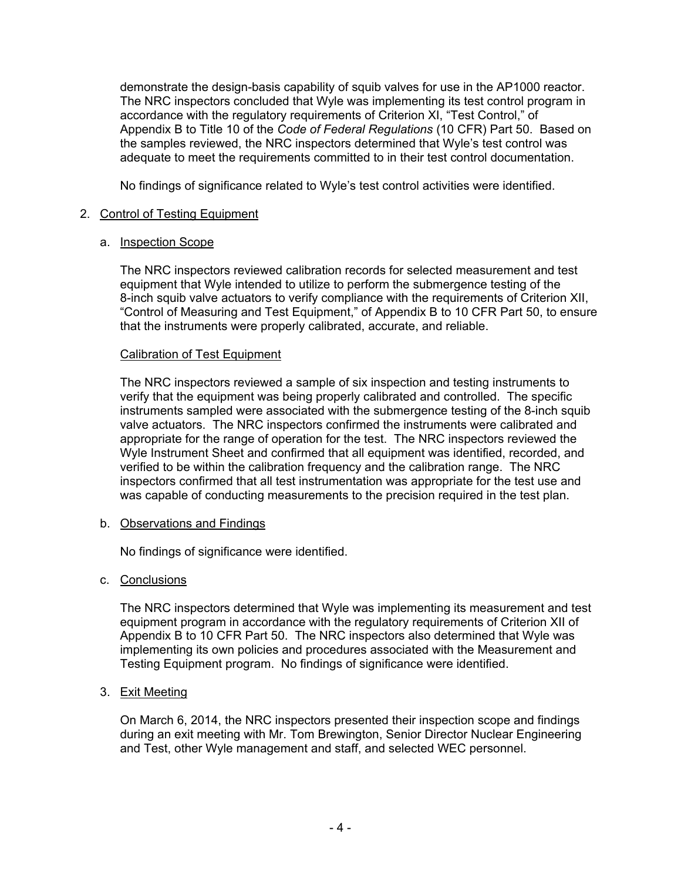demonstrate the design-basis capability of squib valves for use in the AP1000 reactor. The NRC inspectors concluded that Wyle was implementing its test control program in accordance with the regulatory requirements of Criterion XI, "Test Control," of Appendix B to Title 10 of the *Code of Federal Regulations* (10 CFR) Part 50. Based on the samples reviewed, the NRC inspectors determined that Wyle's test control was adequate to meet the requirements committed to in their test control documentation.

No findings of significance related to Wyle's test control activities were identified.

## 2. Control of Testing Equipment

### a. Inspection Scope

The NRC inspectors reviewed calibration records for selected measurement and test equipment that Wyle intended to utilize to perform the submergence testing of the 8-inch squib valve actuators to verify compliance with the requirements of Criterion XII, "Control of Measuring and Test Equipment," of Appendix B to 10 CFR Part 50, to ensure that the instruments were properly calibrated, accurate, and reliable.

## Calibration of Test Equipment

The NRC inspectors reviewed a sample of six inspection and testing instruments to verify that the equipment was being properly calibrated and controlled. The specific instruments sampled were associated with the submergence testing of the 8-inch squib valve actuators. The NRC inspectors confirmed the instruments were calibrated and appropriate for the range of operation for the test. The NRC inspectors reviewed the Wyle Instrument Sheet and confirmed that all equipment was identified, recorded, and verified to be within the calibration frequency and the calibration range. The NRC inspectors confirmed that all test instrumentation was appropriate for the test use and was capable of conducting measurements to the precision required in the test plan.

### b. Observations and Findings

No findings of significance were identified.

## c. Conclusions

The NRC inspectors determined that Wyle was implementing its measurement and test equipment program in accordance with the regulatory requirements of Criterion XII of Appendix B to 10 CFR Part 50. The NRC inspectors also determined that Wyle was implementing its own policies and procedures associated with the Measurement and Testing Equipment program. No findings of significance were identified.

### 3. Exit Meeting

On March 6, 2014, the NRC inspectors presented their inspection scope and findings during an exit meeting with Mr. Tom Brewington, Senior Director Nuclear Engineering and Test, other Wyle management and staff, and selected WEC personnel.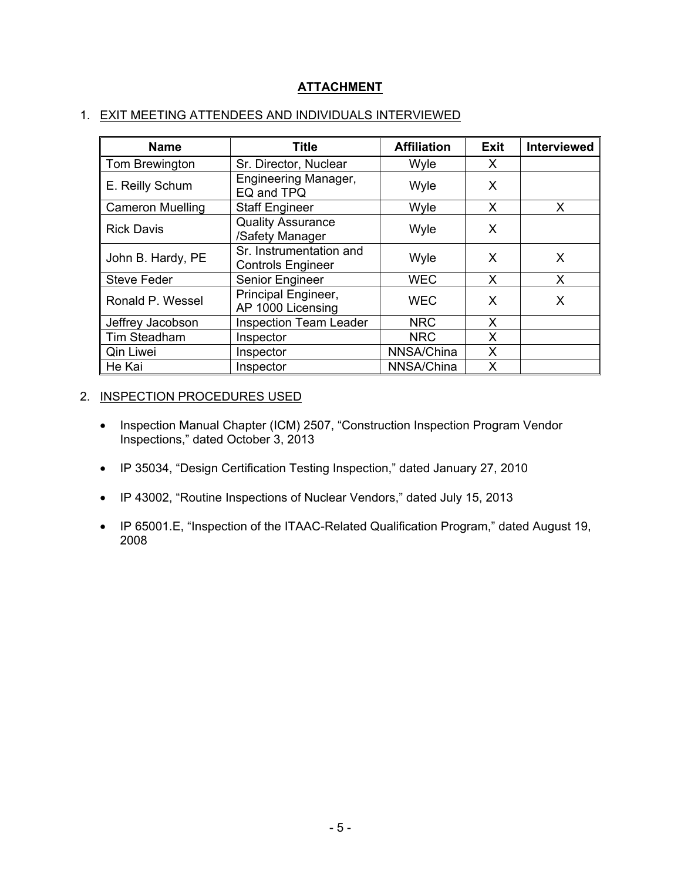# **ATTACHMENT**

### 1. EXIT MEETING ATTENDEES AND INDIVIDUALS INTERVIEWED

| <b>Name</b>             | <b>Title</b>                                        | <b>Affiliation</b> | <b>Exit</b> | <b>Interviewed</b> |
|-------------------------|-----------------------------------------------------|--------------------|-------------|--------------------|
| Tom Brewington          | Sr. Director, Nuclear                               | Wyle               | X           |                    |
| E. Reilly Schum         | <b>Engineering Manager,</b><br>EQ and TPQ           | Wyle               | X           |                    |
| <b>Cameron Muelling</b> | <b>Staff Engineer</b>                               | Wyle               | X           | X                  |
| <b>Rick Davis</b>       | <b>Quality Assurance</b><br>/Safety Manager         | Wyle               | X           |                    |
| John B. Hardy, PE       | Sr. Instrumentation and<br><b>Controls Engineer</b> | Wyle               | X           | X                  |
| <b>Steve Feder</b>      | Senior Engineer                                     | <b>WEC</b>         | X           | X                  |
| Ronald P. Wessel        | Principal Engineer,<br>AP 1000 Licensing            | <b>WEC</b>         | X           | X                  |
| Jeffrey Jacobson        | <b>Inspection Team Leader</b>                       | <b>NRC</b>         | X           |                    |
| Tim Steadham            | Inspector                                           | <b>NRC</b>         | Χ           |                    |
| Qin Liwei               | Inspector                                           | NNSA/China         | X           |                    |
| He Kai                  | Inspector                                           | NNSA/China         | X           |                    |

## 2. INSPECTION PROCEDURES USED

- Inspection Manual Chapter (ICM) 2507, "Construction Inspection Program Vendor Inspections," dated October 3, 2013
- IP 35034, "Design Certification Testing Inspection," dated January 27, 2010
- IP 43002, "Routine Inspections of Nuclear Vendors," dated July 15, 2013
- IP 65001.E, "Inspection of the ITAAC-Related Qualification Program," dated August 19, 2008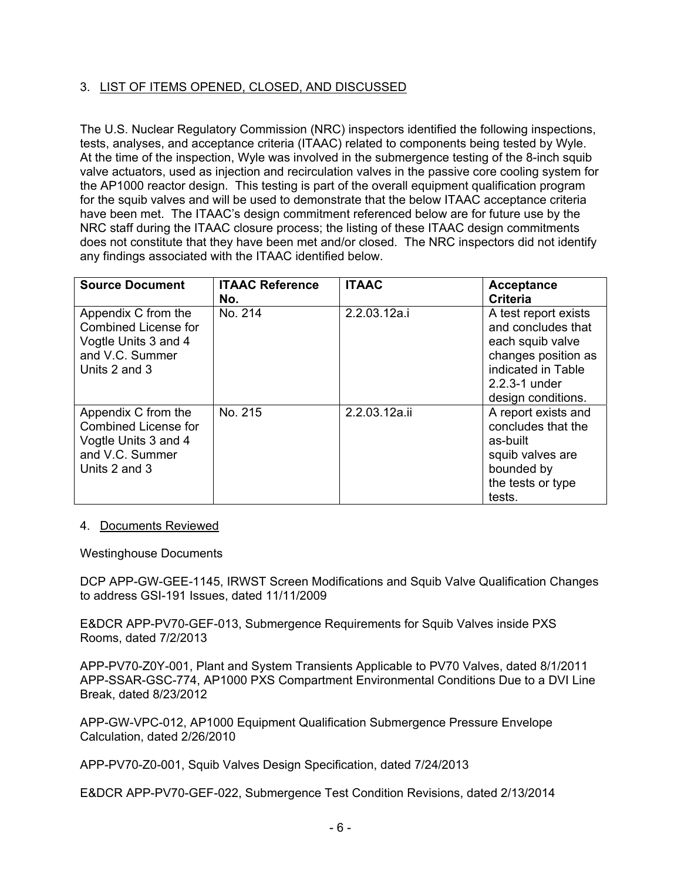## 3. LIST OF ITEMS OPENED, CLOSED, AND DISCUSSED

The U.S. Nuclear Regulatory Commission (NRC) inspectors identified the following inspections, tests, analyses, and acceptance criteria (ITAAC) related to components being tested by Wyle. At the time of the inspection, Wyle was involved in the submergence testing of the 8-inch squib valve actuators, used as injection and recirculation valves in the passive core cooling system for the AP1000 reactor design. This testing is part of the overall equipment qualification program for the squib valves and will be used to demonstrate that the below ITAAC acceptance criteria have been met. The ITAAC's design commitment referenced below are for future use by the NRC staff during the ITAAC closure process; the listing of these ITAAC design commitments does not constitute that they have been met and/or closed. The NRC inspectors did not identify any findings associated with the ITAAC identified below.

| <b>Source Document</b>                                                                                         | <b>ITAAC Reference</b><br>No. | <b>ITAAC</b>  | <b>Acceptance</b><br>Criteria                                                                                                                          |
|----------------------------------------------------------------------------------------------------------------|-------------------------------|---------------|--------------------------------------------------------------------------------------------------------------------------------------------------------|
| Appendix C from the<br><b>Combined License for</b><br>Vogtle Units 3 and 4<br>and V.C. Summer<br>Units 2 and 3 | No. 214                       | 2.2.03.12a.i  | A test report exists<br>and concludes that<br>each squib valve<br>changes position as<br>indicated in Table<br>$2.2.3 - 1$ under<br>design conditions. |
| Appendix C from the<br><b>Combined License for</b><br>Vogtle Units 3 and 4<br>and V.C. Summer<br>Units 2 and 3 | No. 215                       | 2.2.03.12a.ii | A report exists and<br>concludes that the<br>as-built<br>squib valves are<br>bounded by<br>the tests or type<br>tests.                                 |

#### 4. Documents Reviewed

Westinghouse Documents

DCP APP-GW-GEE-1145, IRWST Screen Modifications and Squib Valve Qualification Changes to address GSI-191 Issues, dated 11/11/2009

E&DCR APP-PV70-GEF-013, Submergence Requirements for Squib Valves inside PXS Rooms, dated 7/2/2013

APP-PV70-Z0Y-001, Plant and System Transients Applicable to PV70 Valves, dated 8/1/2011 APP-SSAR-GSC-774, AP1000 PXS Compartment Environmental Conditions Due to a DVI Line Break, dated 8/23/2012

APP-GW-VPC-012, AP1000 Equipment Qualification Submergence Pressure Envelope Calculation, dated 2/26/2010

APP-PV70-Z0-001, Squib Valves Design Specification, dated 7/24/2013

E&DCR APP-PV70-GEF-022, Submergence Test Condition Revisions, dated 2/13/2014